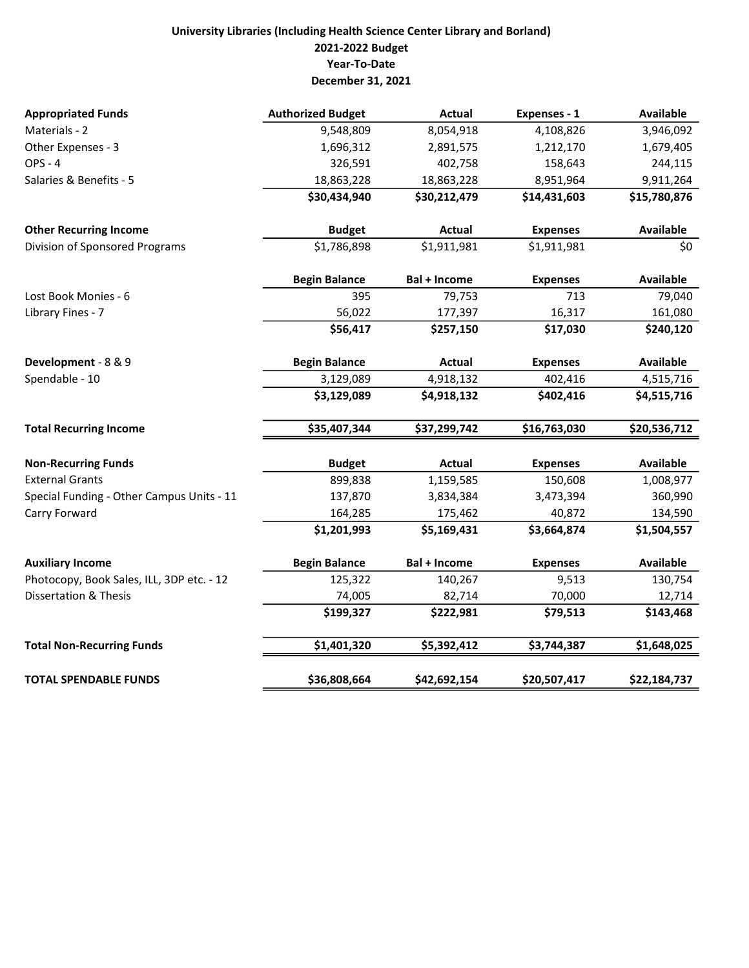## University Libraries (Including Health Science Center Library and Borland) 2021-2022 Budget Year-To-Date December 31, 2021

| <b>Appropriated Funds</b>                 | <b>Authorized Budget</b> | <b>Actual</b>       | Expenses - 1    | <b>Available</b> |
|-------------------------------------------|--------------------------|---------------------|-----------------|------------------|
| Materials - 2                             | 9,548,809                | 8,054,918           | 4,108,826       | 3,946,092        |
| Other Expenses - 3                        | 1,696,312                | 2,891,575           | 1,212,170       | 1,679,405        |
| <b>OPS - 4</b>                            | 326,591                  | 402,758             | 158,643         | 244,115          |
| Salaries & Benefits - 5                   | 18,863,228               | 18,863,228          | 8,951,964       | 9,911,264        |
|                                           | \$30,434,940             | \$30,212,479        | \$14,431,603    | \$15,780,876     |
| <b>Other Recurring Income</b>             | <b>Budget</b>            | Actual              | <b>Expenses</b> | <b>Available</b> |
| Division of Sponsored Programs            | \$1,786,898              | \$1,911,981         | \$1,911,981     | \$0              |
|                                           | <b>Begin Balance</b>     | <b>Bal + Income</b> | <b>Expenses</b> | <b>Available</b> |
| Lost Book Monies - 6                      | 395                      | 79,753              | 713             | 79,040           |
| Library Fines - 7                         | 56,022                   | 177,397             | 16,317          | 161,080          |
|                                           | \$56,417                 | \$257,150           | \$17,030        | \$240,120        |
| Development - 8 & 9                       | <b>Begin Balance</b>     | Actual              | <b>Expenses</b> | <b>Available</b> |
| Spendable - 10                            | 3,129,089                | 4,918,132           | 402,416         | 4,515,716        |
|                                           | \$3,129,089              | \$4,918,132         | \$402,416       | \$4,515,716      |
| <b>Total Recurring Income</b>             | \$35,407,344             | \$37,299,742        | \$16,763,030    | \$20,536,712     |
| <b>Non-Recurring Funds</b>                | <b>Budget</b>            | Actual              | <b>Expenses</b> | <b>Available</b> |
| <b>External Grants</b>                    | 899,838                  | 1,159,585           | 150,608         | 1,008,977        |
| Special Funding - Other Campus Units - 11 | 137,870                  | 3,834,384           | 3,473,394       | 360,990          |
| Carry Forward                             | 164,285                  | 175,462             | 40,872          | 134,590          |
|                                           | \$1,201,993              | \$5,169,431         | \$3,664,874     | \$1,504,557      |
| <b>Auxiliary Income</b>                   | <b>Begin Balance</b>     | <b>Bal + Income</b> | <b>Expenses</b> | <b>Available</b> |
| Photocopy, Book Sales, ILL, 3DP etc. - 12 | 125,322                  | 140,267             | 9,513           | 130,754          |
| <b>Dissertation &amp; Thesis</b>          | 74,005                   | 82,714              | 70,000          | 12,714           |
|                                           | \$199,327                | \$222,981           | \$79,513        | \$143,468        |
| <b>Total Non-Recurring Funds</b>          | \$1,401,320              | \$5,392,412         | \$3,744,387     | \$1,648,025      |
| <b>TOTAL SPENDABLE FUNDS</b>              | \$36,808,664             | \$42,692,154        | \$20,507,417    | \$22,184,737     |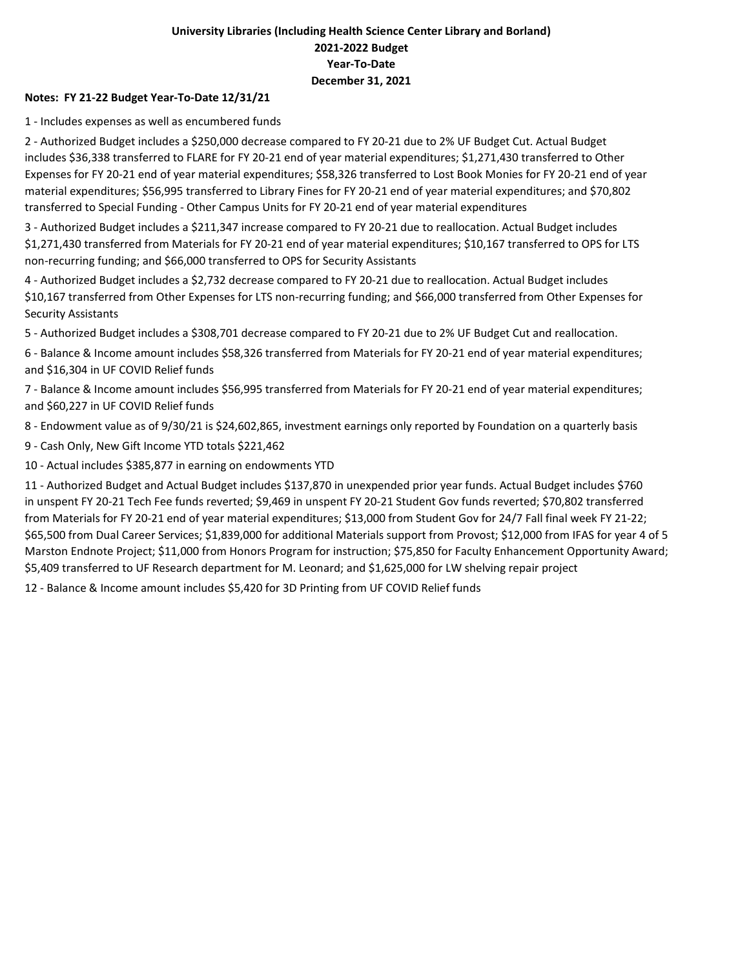### University Libraries (Including Health Science Center Library and Borland) 2021-2022 Budget Year-To-Date December 31, 2021

#### Notes: FY 21-22 Budget Year-To-Date 12/31/21

1 - Includes expenses as well as encumbered funds

2 - Authorized Budget includes a \$250,000 decrease compared to FY 20-21 due to 2% UF Budget Cut. Actual Budget includes \$36,338 transferred to FLARE for FY 20-21 end of year material expenditures; \$1,271,430 transferred to Other Expenses for FY 20-21 end of year material expenditures; \$58,326 transferred to Lost Book Monies for FY 20-21 end of year material expenditures; \$56,995 transferred to Library Fines for FY 20-21 end of year material expenditures; and \$70,802 transferred to Special Funding - Other Campus Units for FY 20-21 end of year material expenditures

3 - Authorized Budget includes a \$211,347 increase compared to FY 20-21 due to reallocation. Actual Budget includes \$1,271,430 transferred from Materials for FY 20-21 end of year material expenditures; \$10,167 transferred to OPS for LTS non-recurring funding; and \$66,000 transferred to OPS for Security Assistants

4 - Authorized Budget includes a \$2,732 decrease compared to FY 20-21 due to reallocation. Actual Budget includes \$10,167 transferred from Other Expenses for LTS non-recurring funding; and \$66,000 transferred from Other Expenses for Security Assistants

5 - Authorized Budget includes a \$308,701 decrease compared to FY 20-21 due to 2% UF Budget Cut and reallocation.

6 - Balance & Income amount includes \$58,326 transferred from Materials for FY 20-21 end of year material expenditures; and \$16,304 in UF COVID Relief funds

7 - Balance & Income amount includes \$56,995 transferred from Materials for FY 20-21 end of year material expenditures; and \$60,227 in UF COVID Relief funds

8 - Endowment value as of 9/30/21 is \$24,602,865, investment earnings only reported by Foundation on a quarterly basis

9 - Cash Only, New Gift Income YTD totals \$221,462

10 - Actual includes \$385,877 in earning on endowments YTD

11 - Authorized Budget and Actual Budget includes \$137,870 in unexpended prior year funds. Actual Budget includes \$760 in unspent FY 20-21 Tech Fee funds reverted; \$9,469 in unspent FY 20-21 Student Gov funds reverted; \$70,802 transferred from Materials for FY 20-21 end of year material expenditures; \$13,000 from Student Gov for 24/7 Fall final week FY 21-22; \$65,500 from Dual Career Services; \$1,839,000 for additional Materials support from Provost; \$12,000 from IFAS for year 4 of 5 Marston Endnote Project; \$11,000 from Honors Program for instruction; \$75,850 for Faculty Enhancement Opportunity Award; \$5,409 transferred to UF Research department for M. Leonard; and \$1,625,000 for LW shelving repair project

12 - Balance & Income amount includes \$5,420 for 3D Printing from UF COVID Relief funds